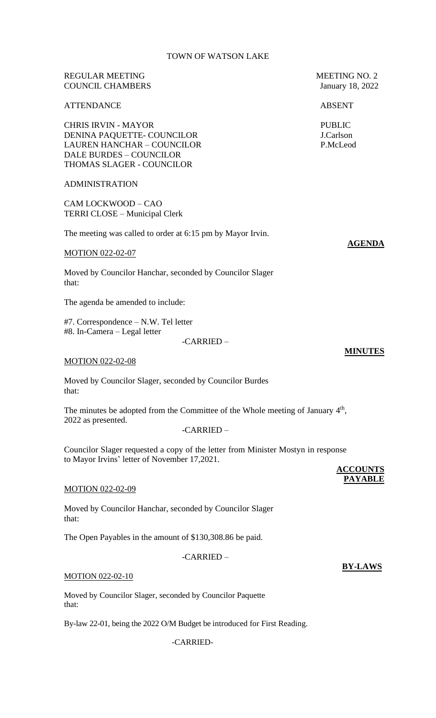# REGULAR MEETING MEETING NO. 2 COUNCIL CHAMBERS January 18, 2022

# ATTENDANCE ABSENT

CHRIS IRVIN - MAYOR PUBLIC DENINA PAQUETTE- COUNCILOR J.Carlson LAUREN HANCHAR – COUNCILOR P.McLeod DALE BURDES – COUNCILOR THOMAS SLAGER - COUNCILOR

#### ADMINISTRATION

CAM LOCKWOOD – CAO TERRI CLOSE – Municipal Clerk

The meeting was called to order at 6:15 pm by Mayor Irvin.

#### MOTION 022-02-07

Moved by Councilor Hanchar, seconded by Councilor Slager that:

The agenda be amended to include:

#7. Correspondence – N.W. Tel letter #8. In-Camera – Legal letter

#### -CARRIED –

#### MOTION 022-02-08

Moved by Councilor Slager, seconded by Councilor Burdes that:

The minutes be adopted from the Committee of the Whole meeting of January  $4<sup>th</sup>$ , 2022 as presented.

-CARRIED –

Councilor Slager requested a copy of the letter from Minister Mostyn in response to Mayor Irvins' letter of November 17,2021.

#### MOTION 022-02-09

Moved by Councilor Hanchar, seconded by Councilor Slager that:

The Open Payables in the amount of \$130,308.86 be paid.

-CARRIED –

#### MOTION 022-02-10

Moved by Councilor Slager, seconded by Councilor Paquette that:

By-law 22-01, being the 2022 O/M Budget be introduced for First Reading.

-CARRIED-

**AGENDA**

**MINUTES**

**BY-LAWS**

**ACCOUNTS PAYABLE**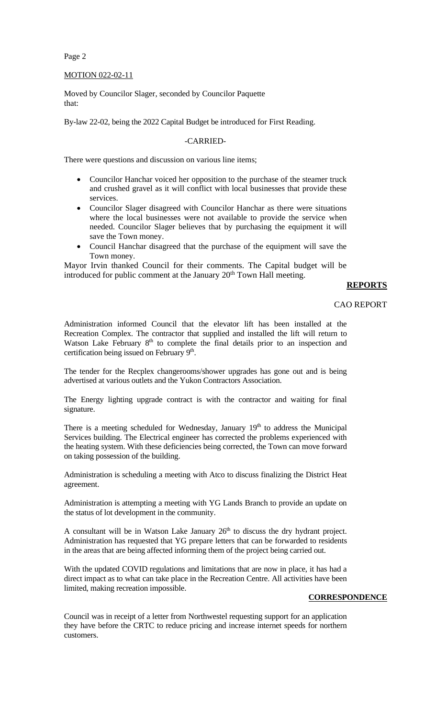Page 2

### MOTION 022-02-11

Moved by Councilor Slager, seconded by Councilor Paquette that:

By-law 22-02, being the 2022 Capital Budget be introduced for First Reading.

## -CARRIED-

There were questions and discussion on various line items;

- Councilor Hanchar voiced her opposition to the purchase of the steamer truck and crushed gravel as it will conflict with local businesses that provide these services.
- Councilor Slager disagreed with Councilor Hanchar as there were situations where the local businesses were not available to provide the service when needed. Councilor Slager believes that by purchasing the equipment it will save the Town money.
- Council Hanchar disagreed that the purchase of the equipment will save the Town money.

Mayor Irvin thanked Council for their comments. The Capital budget will be introduced for public comment at the January  $20<sup>th</sup>$  Town Hall meeting.

## **REPORTS**

### CAO REPORT

Administration informed Council that the elevator lift has been installed at the Recreation Complex. The contractor that supplied and installed the lift will return to Watson Lake February  $8<sup>th</sup>$  to complete the final details prior to an inspection and certification being issued on February 9<sup>th</sup>.

The tender for the Recplex changerooms/shower upgrades has gone out and is being advertised at various outlets and the Yukon Contractors Association.

The Energy lighting upgrade contract is with the contractor and waiting for final signature.

There is a meeting scheduled for Wednesday, January 19<sup>th</sup> to address the Municipal Services building. The Electrical engineer has corrected the problems experienced with the heating system. With these deficiencies being corrected, the Town can move forward on taking possession of the building.

Administration is scheduling a meeting with Atco to discuss finalizing the District Heat agreement.

Administration is attempting a meeting with YG Lands Branch to provide an update on the status of lot development in the community.

A consultant will be in Watson Lake January  $26<sup>th</sup>$  to discuss the dry hydrant project. Administration has requested that YG prepare letters that can be forwarded to residents in the areas that are being affected informing them of the project being carried out.

With the updated COVID regulations and limitations that are now in place, it has had a direct impact as to what can take place in the Recreation Centre. All activities have been limited, making recreation impossible.

### **CORRESPONDENCE**

Council was in receipt of a letter from Northwestel requesting support for an application they have before the CRTC to reduce pricing and increase internet speeds for northern customers.